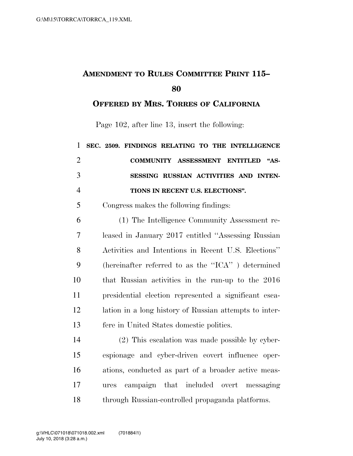## **AMENDMENT TO RULES COMMITTEE PRINT 115–**

**OFFERED BY MRS. TORRES OF CALIFORNIA**

Page 102, after line 13, insert the following:

| $\mathbf{1}$   | SEC. 2509. FINDINGS RELATING TO THE INTELLIGENCE               |
|----------------|----------------------------------------------------------------|
| $\overline{2}$ | COMMUNITY ASSESSMENT ENTITLED<br>A <sup>4</sup> S <sub>2</sub> |
| 3              | SESSING RUSSIAN ACTIVITIES AND INTEN-                          |
| $\overline{4}$ | TIONS IN RECENT U.S. ELECTIONS".                               |
| 5              | Congress makes the following findings:                         |
| 6              | (1) The Intelligence Community Assessment re-                  |
| $\overline{7}$ | leased in January 2017 entitled "Assessing Russian             |
| 8              | Activities and Intentions in Recent U.S. Elections"            |
| 9              | (hereinafter referred to as the "ICA") determined              |
| 10             | that Russian activities in the run-up to the 2016              |
| 11             | presidential election represented a significant esca-          |
| 12             | lation in a long history of Russian attempts to inter-         |
| 13             | fere in United States domestic politics.                       |
| 14             | (2) This escalation was made possible by cyber-                |
| 15             | espionage and cyber-driven covert influence oper-              |
| 16             | ations, conducted as part of a broader active meas-            |
| 17             | campaign that included overt messaging<br>ures                 |
| 18             | through Russian-controlled propaganda platforms.               |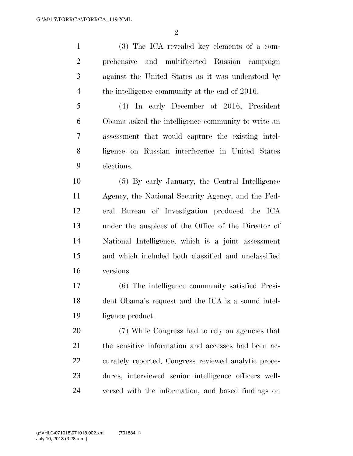$\mathfrak{D}$ 

 (3) The ICA revealed key elements of a com- prehensive and multifaceted Russian campaign against the United States as it was understood by the intelligence community at the end of 2016.

 (4) In early December of 2016, President Obama asked the intelligence community to write an assessment that would capture the existing intel- ligence on Russian interference in United States elections.

 (5) By early January, the Central Intelligence Agency, the National Security Agency, and the Fed- eral Bureau of Investigation produced the ICA under the auspices of the Office of the Director of National Intelligence, which is a joint assessment and which included both classified and unclassified versions.

 (6) The intelligence community satisfied Presi- dent Obama's request and the ICA is a sound intel-ligence product.

 (7) While Congress had to rely on agencies that the sensitive information and accesses had been ac- curately reported, Congress reviewed analytic proce- dures, interviewed senior intelligence officers well-versed with the information, and based findings on